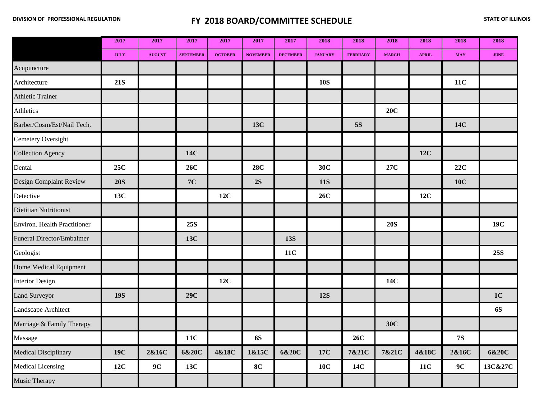## **DIVISION OF PROFESSIONAL REGULATION FY 2018 BOARD/COMMITTEE SCHEDULE**

|                                     | 2017        | 2017          | 2017             | 2017           | 2017            | 2017            | 2018           | 2018            | 2018         | 2018         | 2018          | 2018                                  |
|-------------------------------------|-------------|---------------|------------------|----------------|-----------------|-----------------|----------------|-----------------|--------------|--------------|---------------|---------------------------------------|
|                                     |             |               |                  |                |                 |                 |                |                 |              |              |               |                                       |
|                                     | <b>JULY</b> | <b>AUGUST</b> | <b>SEPTEMBER</b> | <b>OCTOBER</b> | <b>NOVEMBER</b> | <b>DECEMBER</b> | <b>JANUARY</b> | <b>FEBRUARY</b> | <b>MARCH</b> | <b>APRIL</b> | <b>MAY</b>    | $\bold{J} \bold{U} \bold{N} \bold{E}$ |
| Acupuncture                         |             |               |                  |                |                 |                 |                |                 |              |              |               |                                       |
| Architecture                        | <b>21S</b>  |               |                  |                |                 |                 | <b>10S</b>     |                 |              |              | 11C           |                                       |
| <b>Athletic Trainer</b>             |             |               |                  |                |                 |                 |                |                 |              |              |               |                                       |
| Athletics                           |             |               |                  |                |                 |                 |                |                 | 20C          |              |               |                                       |
| Barber/Cosm/Est/Nail Tech.          |             |               |                  |                | 13C             |                 |                | <b>5S</b>       |              |              | 14C           |                                       |
| Cemetery Oversight                  |             |               |                  |                |                 |                 |                |                 |              |              |               |                                       |
| <b>Collection Agency</b>            |             |               | 14C              |                |                 |                 |                |                 |              | 12C          |               |                                       |
| Dental                              | 25C         |               | 26C              |                | <b>28C</b>      |                 | 30C            |                 | 27C          |              | 22C           |                                       |
| Design Complaint Review             | <b>20S</b>  |               | $7C$             |                | 2S              |                 | <b>11S</b>     |                 |              |              | 10C           |                                       |
| Detective                           | 13C         |               |                  | 12C            |                 |                 | 26C            |                 |              | 12C          |               |                                       |
| Dietitian Nutritionist              |             |               |                  |                |                 |                 |                |                 |              |              |               |                                       |
| <b>Environ. Health Practitioner</b> |             |               | <b>25S</b>       |                |                 |                 |                |                 | <b>20S</b>   |              |               | 19C                                   |
| <b>Funeral Director/Embalmer</b>    |             |               | 13C              |                |                 | <b>13S</b>      |                |                 |              |              |               |                                       |
| Geologist                           |             |               |                  |                |                 | 11C             |                |                 |              |              |               | <b>25S</b>                            |
| Home Medical Equipment              |             |               |                  |                |                 |                 |                |                 |              |              |               |                                       |
| <b>Interior Design</b>              |             |               |                  | 12C            |                 |                 |                |                 | 14C          |              |               |                                       |
| <b>Land Surveyor</b>                | <b>19S</b>  |               | 29C              |                |                 |                 | <b>12S</b>     |                 |              |              |               | 1 <sub>C</sub>                        |
| Landscape Architect                 |             |               |                  |                |                 |                 |                |                 |              |              |               | <b>6S</b>                             |
| Marriage & Family Therapy           |             |               |                  |                |                 |                 |                |                 | 30C          |              |               |                                       |
| Massage                             |             |               | <b>11C</b>       |                | <b>6S</b>       |                 |                | 26C             |              |              | $7\mathrm{S}$ |                                       |
| Medical Disciplinary                | <b>19C</b>  | 2&16C         | 6&20C            | 4&18C          | 1&15C           | 6&20C           | 17C            | 7&21C           | 7&21C        | 4&18C        | 2&16C         | 6&20C                                 |
| Medical Licensing                   | 12C         | 9C            | 13C              |                | 8C              |                 | 10C            | 14C             |              | 11C          | 9C            | 13C&27C                               |
| Music Therapy                       |             |               |                  |                |                 |                 |                |                 |              |              |               |                                       |